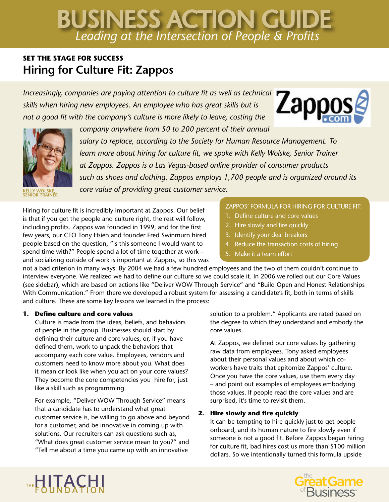# *Leading at the Intersection of People & Profits* BUSINESS ACTION GUIDE

# **SET THE STAGE FOR SUCCESS Hiring for Culture Fit: Zappos**

*Increasingly, companies are paying attention to culture fit as well as technical skills when hiring new employees. An employee who has great skills but is not a good fit with the company's culture is more likely to leave, costing the* 

*company anywhere from 50 to 200 percent of their annual* 



**KELLY WOLSKE, SENIOR TRAINER**

*salary to replace, according to the Society for Human Resource Management. To learn more about hiring for culture fit, we spoke with Kelly Wolske, Senior Trainer at Zappos. Zappos is a Las Vegas-based online provider of consumer products such as shoes and clothing. Zappos employs 1,700 people and is organized around its core value of providing great customer service.* 

Hiring for culture fit is incredibly important at Zappos. Our belief is that if you get the people and culture right, the rest will follow, including profits. Zappos was founded in 1999, and for the first few years, our CEO Tony Hsieh and founder Fred Swinmurn hired people based on the question, "Is this someone I would want to spend time with?" People spend a lot of time together at work – and socializing outside of work is important at Zappos, so this was

## ZAPPOS' FORMULA FOR HIRING FOR CULTURE FIT:

Zapposg

- 1. Define culture and core values
- 2. Hire slowly and fire quickly
- 3. Identify your deal breakers
- 4. Reduce the transaction costs of hiring
- Make it a team effort

not a bad criterion in many ways. By 2004 we had a few hundred employees and the two of them couldn't continue to interview everyone. We realized we had to define our culture so we could scale it. In 2006 we rolled out our Core Values (see sidebar), which are based on actions like "Deliver WOW Through Service" and "Build Open and Honest Relationships With Communication." From there we developed a robust system for assessing a candidate's fit, both in terms of skills and culture. These are some key lessons we learned in the process:

### **1. Define culture and core values**

Culture is made from the ideas, beliefs, and behaviors of people in the group. Businesses should start by defining their culture and core values; or, if you have defined them, work to unpack the behaviors that accompany each core value. Employees, vendors and customers need to know more about you. What does it mean or look like when you act on your core values? They become the core competencies you hire for, just like a skill such as programming.

For example, "Deliver WOW Through Service" means that a candidate has to understand what great customer service is, be willing to go above and beyond for a customer, and be innovative in coming up with solutions. Our recruiters can ask questions such as, "What does great customer service mean to you?" and "Tell me about a time you came up with an innovative

solution to a problem." Applicants are rated based on the degree to which they understand and embody the core values.

At Zappos, we defined our core values by gathering raw data from employees. Tony asked employees about their personal values and about which coworkers have traits that epitomize Zappos' culture. Once you have the core values, use them every day – and point out examples of employees embodying those values. If people read the core values and are surprised, it's time to revisit them.

# **2. Hire slowly and fire quickly**

It can be tempting to hire quickly just to get people onboard, and its human nature to fire slowly even if someone is not a good fit. Before Zappos began hiring for culture fit, bad hires cost us more than \$100 million dollars. So we intentionally turned this formula upside



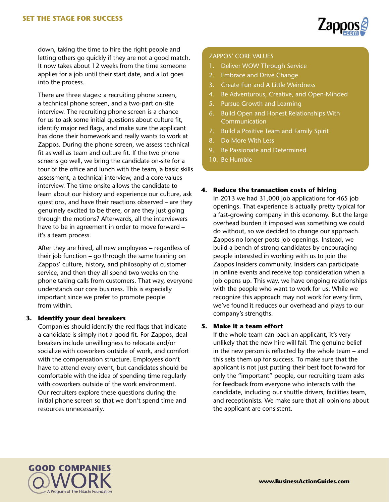

down, taking the time to hire the right people and letting others go quickly if they are not a good match. It now takes about 12 weeks from the time someone applies for a job until their start date, and a lot goes into the process.

There are three stages: a recruiting phone screen, a technical phone screen, and a two-part on-site interview. The recruiting phone screen is a chance for us to ask some initial questions about culture fit, identify major red flags, and make sure the applicant has done their homework and really wants to work at Zappos. During the phone screen, we assess technical fit as well as team and culture fit. If the two phone screens go well, we bring the candidate on-site for a tour of the office and lunch with the team, a basic skills assessment, a technical interview, and a core values interview. The time onsite allows the candidate to learn about our history and experience our culture, ask questions, and have their reactions observed – are they genuinely excited to be there, or are they just going through the motions? Afterwards, all the interviewers have to be in agreement in order to move forward – it's a team process.

After they are hired, all new employees – regardless of their job function – go through the same training on Zappos' culture, history, and philosophy of customer service, and then they all spend two weeks on the phone taking calls from customers. That way, everyone understands our core business. This is especially important since we prefer to promote people from within.

#### **3. Identify your deal breakers**

Companies should identify the red flags that indicate a candidate is simply not a good fit. For Zappos, deal breakers include unwillingness to relocate and/or socialize with coworkers outside of work, and comfort with the compensation structure. Employees don't have to attend every event, but candidates should be comfortable with the idea of spending time regularly with coworkers outside of the work environment. Our recruiters explore these questions during the initial phone screen so that we don't spend time and resources unnecessarily.

#### ZAPPOS' CORE VALUES

- 1. Deliver WOW Through Service
- 2. Embrace and Drive Change
- 3. Create Fun and A Little Weirdness
- 4. Be Adventurous, Creative, and Open-Minded
- 5. Pursue Growth and Learning
- 6. Build Open and Honest Relationships With **Communication**
- 7. Build a Positive Team and Family Spirit
- 8. Do More With Less
- 9. Be Passionate and Determined
- 10. Be Humble

#### **4. Reduce the transaction costs of hiring**

In 2013 we had 31,000 job applications for 465 job openings. That experience is actually pretty typical for a fast-growing company in this economy. But the large overhead burden it imposed was something we could do without, so we decided to change our approach. Zappos no longer posts job openings. Instead, we build a bench of strong candidates by encouraging people interested in working with us to join the Zappos Insiders community. Insiders can participate in online events and receive top consideration when a job opens up. This way, we have ongoing relationships with the people who want to work for us. While we recognize this approach may not work for every firm, we've found it reduces our overhead and plays to our company's strengths.

#### **5. Make it a team effort**

If the whole team can back an applicant, it's very unlikely that the new hire will fail. The genuine belief in the new person is reflected by the whole team – and this sets them up for success. To make sure that the applicant is not just putting their best foot forward for only the "important" people, our recruiting team asks for feedback from everyone who interacts with the candidate, including our shuttle drivers, facilities team, and receptionists. We make sure that all opinions about the applicant are consistent.